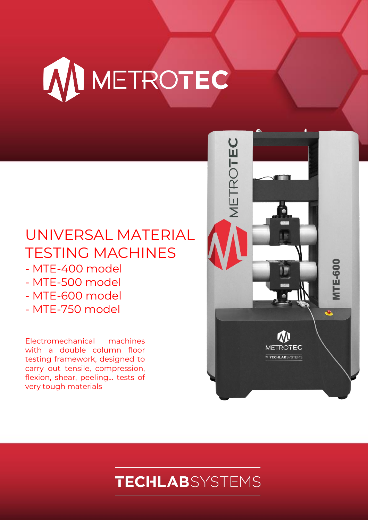

# UNIVERSAL MATERIAL TESTING MACHINES

- MTE-400 model
- MTE-500 model
- MTE-600 model
- MTE-750 model

Electromechanical machines with a double column floor testing framework, designed to carry out tensile, compression, flexion, shear, peeling… tests of very tough materials



# **TECHLAB**SYSTEMS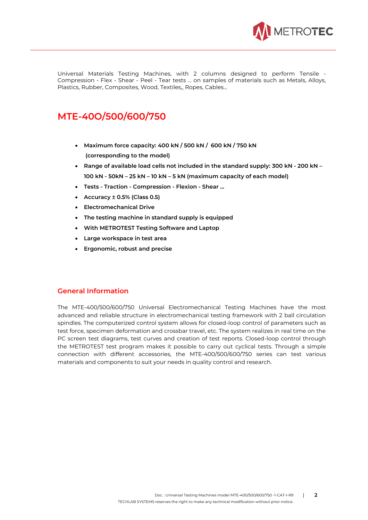

Universal Materials Testing Machines, with 2 columns designed to perform Tensile - Compression - Flex - Shear - Peel - Tear tests ... on samples of materials such as Metals, Alloys, Plastics, Rubber, Composites, Wood, Textiles,, Ropes, Cables…

# **MTE-40O/500/600/750**

- **Maximum force capacity: 400 kN / 500 kN / 600 kN / 750 kN (corresponding to the model)**
- **Range of available load cells not included in the standard supply: 300 kN - 200 kN – 100 kN - 50kN – 25 kN – 10 kN – 5 kN (maximum capacity of each model)**
- **Tests - Traction - Compression - Flexion - Shear ...**
- **Accuracy ± 0.5% (Class 0.5)**
- **Electromechanical Drive**
- **The testing machine in standard supply is equipped**
- **With METROTEST Testing Software and Laptop**
- **Large workspace in test area**
- **Ergonomic, robust and precise**

#### **General Information**

The MTE-400/500/600/750 Universal Electromechanical Testing Machines have the most advanced and reliable structure in electromechanical testing framework with 2 ball circulation spindles. The computerized control system allows for closed-loop control of parameters such as test force, specimen deformation and crossbar travel, etc. The system realizes in real time on the PC screen test diagrams, test curves and creation of test reports. Closed-loop control through the METROTEST test program makes it possible to carry out cyclical tests. Through a simple connection with different accessories, the MTE-400/500/600/750 series can test various materials and components to suit your needs in quality control and research.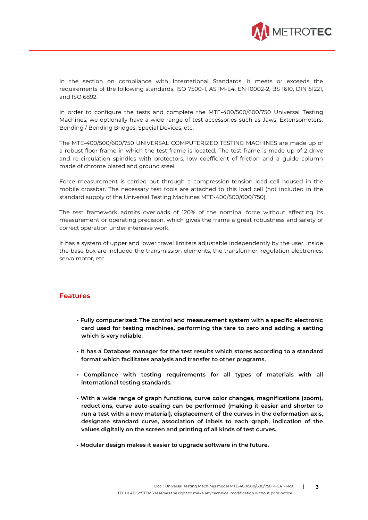

In the section on compliance with International Standards, it meets or exceeds the requirements of the following standards: ISO 7500-1, ASTM-E4, EN 10002-2, BS 1610, DIN 51221, and ISO 6892.

In order to configure the tests and complete the MTE-400/500/600/750 Universal Testing Machines, we optionally have a wide range of test accessories such as Jaws, Extensometers, Bending / Bending Bridges, Special Devices, etc.

The MTE-400/500/600/750 UNIVERSAL COMPUTERIZED TESTING MACHINES are made up of a robust floor frame in which the test frame is located. The test frame is made up of 2 drive and re-circulation spindles with protectors, low coefficient of friction and a guide column made of chrome plated and ground steel.

Force measurement is carried out through a compression-tension load cell housed in the mobile crossbar. The necessary test tools are attached to this load cell (not included in the standard supply of the Universal Testing Machines MTE-400/500/600/750).

The test framework admits overloads of 120% of the nominal force without affecting its measurement or operating precision, which gives the frame a great robustness and safety of correct operation under intensive work.

It has a system of upper and lower travel limiters adjustable independently by the user. Inside the base box are included the transmission elements, the transformer, regulation electronics, servo motor, etc.

#### **Features**

- **Fully computerized: The control and measurement system with a specific electronic card used for testing machines, performing the tare to zero and adding a setting which is very reliable.**
- **It has a Database manager for the test results which stores according to a standard format which facilitates analysis and transfer to other programs.**
- **Compliance with testing requirements for all types of materials with all international testing standards.**
- **With a wide range of graph functions, curve color changes, magnifications (zoom), reductions, curve auto-scaling can be performed (making it easier and shorter to run a test with a new material), displacement of the curves in the deformation axis, designate standard curve, association of labels to each graph, indication of the values digitally on the screen and printing of all kinds of test curves.**
- **Modular design makes it easier to upgrade software in the future.**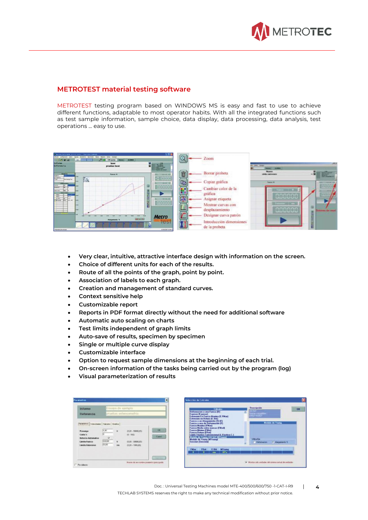

## **METROTEST material testing software**

METROTEST testing program based on WINDOWS MS is easy and fast to use to achieve different functions, adaptable to most operator habits. With all the integrated functions such as test sample information, sample choice, data display, data processing, data analysis, test operations ... easy to use.

|                                                                                                                | Martinha: DATA FLAMM, 20, 8, 42, 1925). TRACCKIN STANDAR          | 交待機                      |                                |                 |    |
|----------------------------------------------------------------------------------------------------------------|-------------------------------------------------------------------|--------------------------|--------------------------------|-----------------|----|
| plans Critician Libs                                                                                           | Calvas<br><b>Januar Classican</b><br><b><i><u>Pumpers</u></i></b> | le)                      | Zoom                           |                 |    |
| 00000                                                                                                          | 8.00 am/air  <br><b>SAL</b><br><b>MAINER</b>                      |                          |                                |                 |    |
| <b>Informe</b>                                                                                                 | laser                                                             |                          |                                |                 |    |
| <b>Referencia</b>                                                                                              | pruebas laser                                                     |                          |                                | <b>THE ROOM</b> |    |
|                                                                                                                |                                                                   | <b>Fillett</b>           |                                |                 |    |
| <b>REGEETA</b><br><b>Laters</b>                                                                                | Fuerza N                                                          | $\frac{1}{2}$            | Borrar probeta                 |                 | 福安 |
| <b>STRAFTA</b><br><b>Parterpilar</b>                                                                           | E.<br><b>MAG</b>                                                  | $-0.10000$<br>EB         | Copiar gráfica                 |                 |    |
| $\begin{array}{c c c c} & \text{amoston} \\ \hline \text{on} & \text{in} \\ \text{on} & \text{in} \end{array}$ |                                                                   | 岩に出<br>accoca<br>a a     |                                |                 |    |
| $-$<br><b>MACCINA</b><br><b><i>ARRISTMENT</i></b>                                                              | tem.                                                              |                          | Cambiar color de la<br>gráfica |                 |    |
| $rac{1}{8.44}$<br>ALL AT<br>Shinang Mrs<br>ELL-ME                                                              | <b>Lating</b>                                                     | Œ<br>28.3                | Asignar etiqueta               | <b>He deb</b>   |    |
|                                                                                                                | 出现<br><b>Since</b>                                                | 000000<br><b>CALLS</b>   | Mostrar curvas con             |                 |    |
|                                                                                                                | <b>GLAC</b>                                                       |                          | desplazamiento                 | 00000           | ш  |
|                                                                                                                | <br>$-$                                                           | <b>Metro</b>             | Designar curva patron          |                 |    |
|                                                                                                                | $-1185$<br>Alargamients %                                         | test                     | Introducción dimensiones       |                 |    |
| Precede case enters                                                                                            |                                                                   | <b><i>BRIGHT</i>IGHT</b> | de la probeta                  |                 | B  |

- **Very clear, intuitive, attractive interface design with information on the screen.**
- **Choice of different units for each of the results.**
- **Route of all the points of the graph, point by point.**
- **Association of labels to each graph.**
- **Creation and management of standard curves.**
- **Context sensitive help**
- **Customizable report**
- **Reports in PDF format directly without the need for additional software**
- **Automatic auto scaling on charts**
- **Test limits independent of graph limits**
- **Auto-save of results, specimen by specimen**
- **Single or multiple curve display**
- **Customizable interface**
- **Option to request sample dimensions at the beginning of each trial.**
- **On-screen information of the tasks being carried out by the program (log)**
- **Visual parameterization of results**

| <b>Informe</b>                                                                                                                                 | Ensayo de ejemplo<br>sittlomozonatka asdeuto               |                                 |                                                                                 |                    |  |
|------------------------------------------------------------------------------------------------------------------------------------------------|------------------------------------------------------------|---------------------------------|---------------------------------------------------------------------------------|--------------------|--|
| Referencia                                                                                                                                     |                                                            |                                 |                                                                                 |                    |  |
| Parametros Velocidades Calculto Centica<br>Procarga<br>Caida %<br><b>Betorns Automatico</b><br><b>Limite Fuerza</b><br><b>Limite Estension</b> | [1,00]<br>10<br>$\overline{\mathbf{v}}$<br>600.00<br>00.00 | ŵ<br>$\mathbf{H}$<br><b>Has</b> | $(0.00 - 90000.001)$<br>$(0 - 100)$<br>(9.00 - 50000,00).<br>$(0.00 - 1000.00)$ | <b>DK</b><br>Cussi |  |
|                                                                                                                                                |                                                            |                                 |                                                                                 | <b>Tarming</b>     |  |

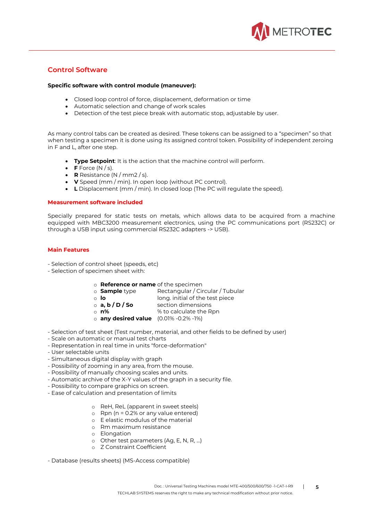

### **Control Software**

#### **Specific software with control module (maneuver):**

- Closed loop control of force, displacement, deformation or time
- Automatic selection and change of work scales
- Detection of the test piece break with automatic stop, adjustable by user.

As many control tabs can be created as desired. These tokens can be assigned to a "specimen" so that when testing a specimen it is done using its assigned control token. Possibility of independent zeroing in F and L, after one step.

- **Type Setpoint**: It is the action that the machine control will perform.
- **F** Force  $(N/s)$ .
- **R** Resistance  $(N/mm2/s)$ .
- **V** Speed (mm / min). In open loop (without PC control).
- **L** Displacement (mm / min). In closed loop (The PC will regulate the speed).

#### **Measurement software included**

Specially prepared for static tests on metals, which allows data to be acquired from a machine equipped with MBC3200 measurement electronics, using the PC communications port (RS232C) or through a USB input using commercial RS232C adapters -> USB).

#### **Main Features**

- Selection of control sheet (speeds, etc)
- Selection of specimen sheet with:
	- o **Reference or name** of the specimen
	- o **Sample** type Rectangular / Circular / Tubular
	- o **lo** long. initial of the test piece
	-
	- o **a, b / D / So** section dimensions % to calculate the Rpn
	- o **any desired value** (0.01% -0.2% -1%)
	-
- Selection of test sheet (Test number, material, and other fields to be defined by user)
- Scale on automatic or manual test charts
- Representation in real time in units "force-deformation"
- User selectable units
- Simultaneous digital display with graph
- Possibility of zooming in any area, from the mouse.
- Possibility of manually choosing scales and units.
- Automatic archive of the X-Y values of the graph in a security file.
- Possibility to compare graphics on screen.
- Ease of calculation and presentation of limits
	- o ReH, ReL (apparent in sweet steels)
	- $\circ$  Rpn (n = 0.2% or any value entered)
	- o E elastic modulus of the material
	- o Rm maximum resistance
	- o Elongation
	- o Other test parameters (Ag, E, N, R, ...)
	- o Z Constraint Coefficient

- Database (results sheets) (MS-Access compatible)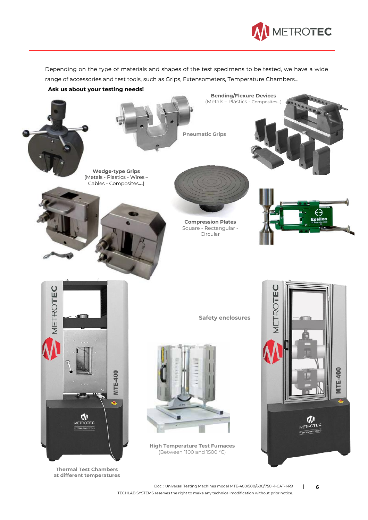

Depending on the type of materials and shapes of the test specimens to be tested, we have a wide range of accessories and test tools, such as Grips, Extensometers, Temperature Chambers...

**Ask us about your testing needs!**





**Wedge-type Grips** (Metals - Plastics - Wires – Cables - Composites**…)**



**Compression Plates** Square - Rectangular - Circular





**Thermal Test Chambers at different temperatures** **Safety enclosures** 



**High Temperature Test Furnaces** (Between 1100 and 1500 ºC)

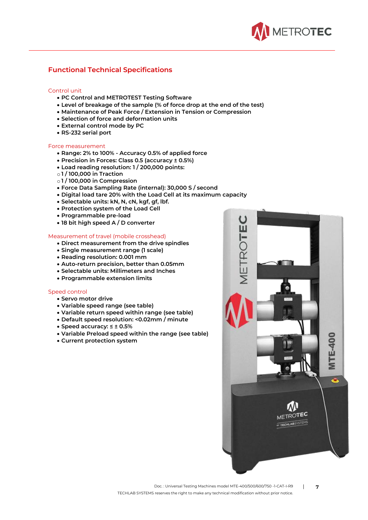

### **Functional Technical Specifications**

#### Control unit

- **PC Control and METROTEST Testing Software**
- **Level of breakage of the sample (% of force drop at the end of the test)**
- **Maintenance of Peak Force / Extension in Tension or Compression**
- **Selection of force and deformation units**
- **External control mode by PC**
- **RS-232 serial port**

#### Force measurement

- **Range: 2% to 100% - Accuracy 0.5% of applied force**
- **Precision in Forces: Class 0.5 (accuracy ± 0.5%)**
- **Load reading resolution: 1 / 200,000 points:**
- o **1 / 100,000 in Traction**
- o **1 / 100,000 in Compression**
- **Force Data Sampling Rate (internal): 30,000 S / second**
- **Digital load tare 20% with the Load Cell at its maximum capacity**
- **Selectable units: kN, N, cN, kgf, gf, lbf.**
- **Protection system of the Load Cell**
- **Programmable pre-load**
- **18 bit high speed A / D converter**

#### Measurement of travel (mobile crosshead)

- **Direct measurement from the drive spindles**
- **Single measurement range (1 scale)**
- **Reading resolution: 0.001 mm**
- **Auto-return precision, better than 0.05mm**
- **Selectable units: Millimeters and Inches**
- **Programmable extension limits**

#### Speed control

- **Servo motor drive**
- **Variable speed range (see table)**
- **Variable return speed within range (see table)**
- **Default speed resolution: <0.02mm / minute**
- **Speed accuracy: ≤ ± 0.5%**
- **Variable Preload speed within the range (see table)**
- **Current protection system**